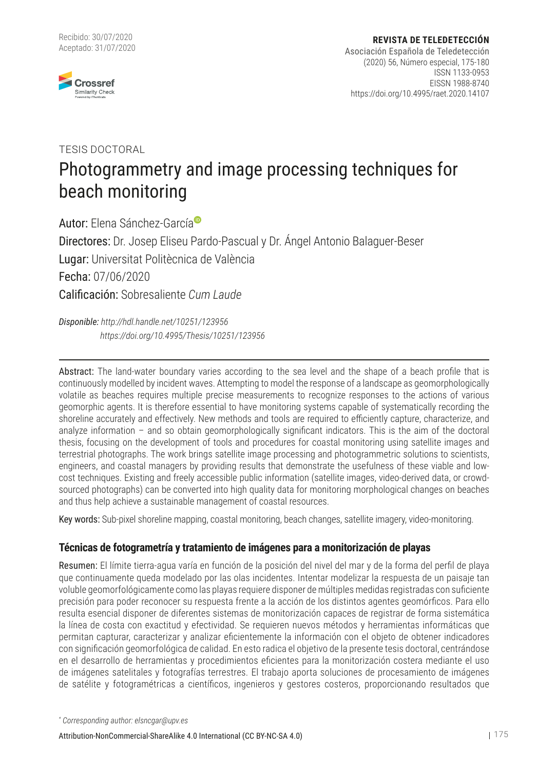

## Photogrammetry and image processing techniques for beach monitoring TESIS DOCTORAL

Autor: Elena Sánchez-Garcí[a](http://orcid.org/0000-0002-8642-2436) Directores: Dr. Josep Eliseu Pardo-Pascual y Dr. Ángel Antonio Balaguer-Beser Lugar: Universitat Politècnica de València Fecha: 07/06/2020 Calificación: Sobresaliente *Cum Laude*

*Disponible:<http://hdl.handle.net/10251/123956> <https://doi.org/10.4995/Thesis/10251/123956>*

Abstract: The land-water boundary varies according to the sea level and the shape of a beach profile that is continuously modelled by incident waves. Attempting to model the response of a landscape as geomorphologically volatile as beaches requires multiple precise measurements to recognize responses to the actions of various geomorphic agents. It is therefore essential to have monitoring systems capable of systematically recording the shoreline accurately and effectively. New methods and tools are required to efficiently capture, characterize, and analyze information – and so obtain geomorphologically significant indicators. This is the aim of the doctoral thesis, focusing on the development of tools and procedures for coastal monitoring using satellite images and terrestrial photographs. The work brings satellite image processing and photogrammetric solutions to scientists, engineers, and coastal managers by providing results that demonstrate the usefulness of these viable and lowcost techniques. Existing and freely accessible public information (satellite images, video-derived data, or crowdsourced photographs) can be converted into high quality data for monitoring morphological changes on beaches and thus help achieve a sustainable management of coastal resources.

Key words: Sub-pixel shoreline mapping, coastal monitoring, beach changes, satellite imagery, video-monitoring.

## **Técnicas de fotogrametría y tratamiento de imágenes para a monitorización de playas**

Resumen: El límite tierra-agua varía en función de la posición del nivel del mar y de la forma del perfil de playa que continuamente queda modelado por las olas incidentes. Intentar modelizar la respuesta de un paisaje tan voluble geomorfológicamente como las playas requiere disponer de múltiples medidas registradas con suficiente precisión para poder reconocer su respuesta frente a la acción de los distintos agentes geomórficos. Para ello resulta esencial disponer de diferentes sistemas de monitorización capaces de registrar de forma sistemática la línea de costa con exactitud y efectividad. Se requieren nuevos métodos y herramientas informáticas que permitan capturar, caracterizar y analizar eficientemente la información con el objeto de obtener indicadores con significación geomorfológica de calidad. En esto radica el objetivo de la presente tesis doctoral, centrándose en el desarrollo de herramientas y procedimientos eficientes para la monitorización costera mediante el uso de imágenes satelitales y fotografías terrestres. El trabajo aporta soluciones de procesamiento de imágenes de satélite y fotogramétricas a científicos, ingenieros y gestores costeros, proporcionando resultados que

*\* Corresponding author: elsncgar@upv.es*

[Attribution-NonCommercial-ShareAlike 4.0 International \(CC BY-NC-SA 4.0\)](http://creativecommons.org/licenses/by-nc-nd/4.0/) 175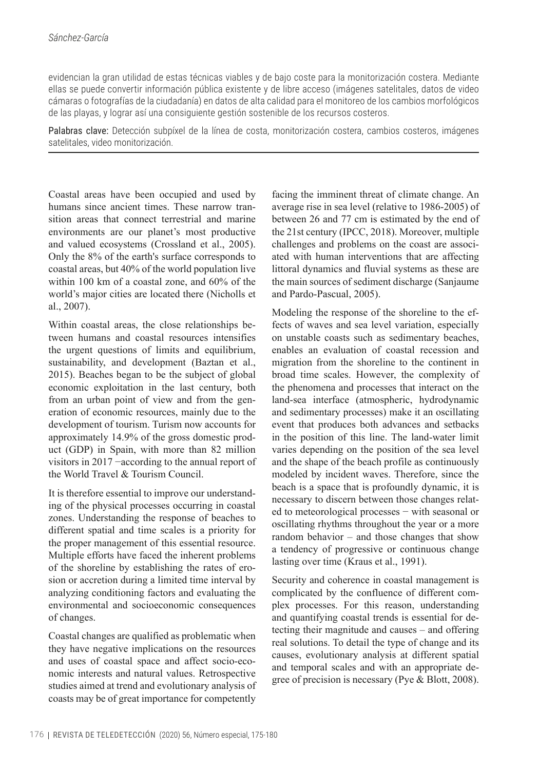evidencian la gran utilidad de estas técnicas viables y de bajo coste para la monitorización costera. Mediante ellas se puede convertir información pública existente y de libre acceso (imágenes satelitales, datos de video cámaras o fotografías de la ciudadanía) en datos de alta calidad para el monitoreo de los cambios morfológicos de las playas, y lograr así una consiguiente gestión sostenible de los recursos costeros.

Palabras clave: Detección subpíxel de la línea de costa, monitorización costera, cambios costeros, imágenes satelitales, video monitorización.

Coastal areas have been occupied and used by humans since ancient times. These narrow transition areas that connect terrestrial and marine environments are our planet's most productive and valued ecosystems (Crossland et al., 2005). Only the 8% of the earth's surface corresponds to coastal areas, but 40% of the world population live within 100 km of a coastal zone, and 60% of the world's major cities are located there (Nicholls et al., 2007).

Within coastal areas, the close relationships between humans and coastal resources intensifies the urgent questions of limits and equilibrium, sustainability, and development (Baztan et al., 2015). Beaches began to be the subject of global economic exploitation in the last century, both from an urban point of view and from the generation of economic resources, mainly due to the development of tourism. Turism now accounts for approximately 14.9% of the gross domestic product (GDP) in Spain, with more than 82 million visitors in 2017 −according to the annual report of the World Travel & Tourism Council.

It is therefore essential to improve our understanding of the physical processes occurring in coastal zones. Understanding the response of beaches to different spatial and time scales is a priority for the proper management of this essential resource. Multiple efforts have faced the inherent problems of the shoreline by establishing the rates of erosion or accretion during a limited time interval by analyzing conditioning factors and evaluating the environmental and socioeconomic consequences of changes.

Coastal changes are qualified as problematic when they have negative implications on the resources and uses of coastal space and affect socio-economic interests and natural values. Retrospective studies aimed at trend and evolutionary analysis of coasts may be of great importance for competently

facing the imminent threat of climate change. An average rise in sea level (relative to 1986-2005) of between 26 and 77 cm is estimated by the end of the 21st century (IPCC, 2018). Moreover, multiple challenges and problems on the coast are associated with human interventions that are affecting littoral dynamics and fluvial systems as these are the main sources of sediment discharge (Sanjaume and Pardo-Pascual, 2005).

Modeling the response of the shoreline to the effects of waves and sea level variation, especially on unstable coasts such as sedimentary beaches, enables an evaluation of coastal recession and migration from the shoreline to the continent in broad time scales. However, the complexity of the phenomena and processes that interact on the land-sea interface (atmospheric, hydrodynamic and sedimentary processes) make it an oscillating event that produces both advances and setbacks in the position of this line. The land-water limit varies depending on the position of the sea level and the shape of the beach profile as continuously modeled by incident waves. Therefore, since the beach is a space that is profoundly dynamic, it is necessary to discern between those changes related to meteorological processes − with seasonal or oscillating rhythms throughout the year or a more random behavior – and those changes that show a tendency of progressive or continuous change lasting over time (Kraus et al., 1991).

Security and coherence in coastal management is complicated by the confluence of different complex processes. For this reason, understanding and quantifying coastal trends is essential for detecting their magnitude and causes – and offering real solutions. To detail the type of change and its causes, evolutionary analysis at different spatial and temporal scales and with an appropriate degree of precision is necessary (Pye & Blott, 2008).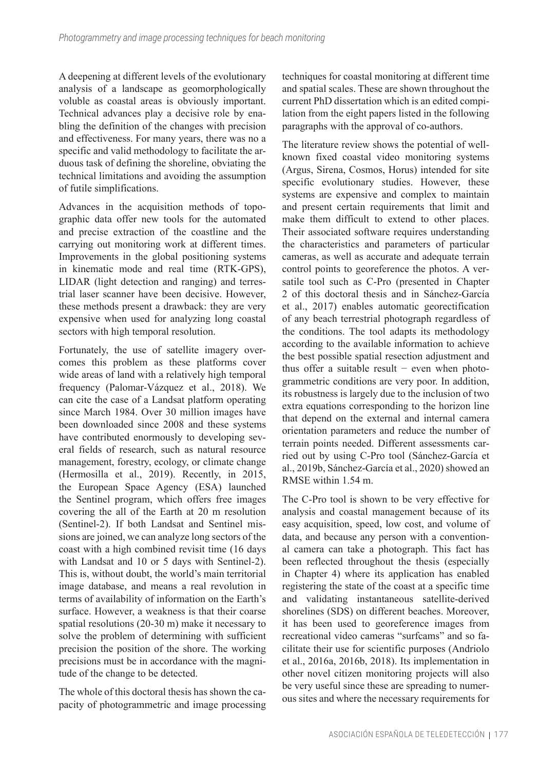A deepening at different levels of the evolutionary analysis of a landscape as geomorphologically voluble as coastal areas is obviously important. Technical advances play a decisive role by enabling the definition of the changes with precision and effectiveness. For many years, there was no a specific and valid methodology to facilitate the arduous task of defining the shoreline, obviating the technical limitations and avoiding the assumption of futile simplifications.

Advances in the acquisition methods of topographic data offer new tools for the automated and precise extraction of the coastline and the carrying out monitoring work at different times. Improvements in the global positioning systems in kinematic mode and real time (RTK-GPS), LIDAR (light detection and ranging) and terrestrial laser scanner have been decisive. However, these methods present a drawback: they are very expensive when used for analyzing long coastal sectors with high temporal resolution.

Fortunately, the use of satellite imagery overcomes this problem as these platforms cover wide areas of land with a relatively high temporal frequency (Palomar-Vázquez et al., 2018). We can cite the case of a Landsat platform operating since March 1984. Over 30 million images have been downloaded since 2008 and these systems have contributed enormously to developing several fields of research, such as natural resource management, forestry, ecology, or climate change (Hermosilla et al., 2019). Recently, in 2015, the European Space Agency (ESA) launched the Sentinel program, which offers free images covering the all of the Earth at 20 m resolution (Sentinel-2). If both Landsat and Sentinel missions are joined, we can analyze long sectors of the coast with a high combined revisit time (16 days with Landsat and 10 or 5 days with Sentinel-2). This is, without doubt, the world's main territorial image database, and means a real revolution in terms of availability of information on the Earth's surface. However, a weakness is that their coarse spatial resolutions (20-30 m) make it necessary to solve the problem of determining with sufficient precision the position of the shore. The working precisions must be in accordance with the magnitude of the change to be detected.

The whole of this doctoral thesis has shown the capacity of photogrammetric and image processing

techniques for coastal monitoring at different time and spatial scales. These are shown throughout the current PhD dissertation which is an edited compilation from the eight papers listed in the following paragraphs with the approval of co-authors.

The literature review shows the potential of wellknown fixed coastal video monitoring systems (Argus, Sirena, Cosmos, Horus) intended for site specific evolutionary studies. However, these systems are expensive and complex to maintain and present certain requirements that limit and make them difficult to extend to other places. Their associated software requires understanding the characteristics and parameters of particular cameras, as well as accurate and adequate terrain control points to georeference the photos. A versatile tool such as C-Pro (presented in Chapter 2 of this doctoral thesis and in Sánchez-García et al., 2017) enables automatic georectification of any beach terrestrial photograph regardless of the conditions. The tool adapts its methodology according to the available information to achieve the best possible spatial resection adjustment and thus offer a suitable result − even when photogrammetric conditions are very poor. In addition, its robustness is largely due to the inclusion of two extra equations corresponding to the horizon line that depend on the external and internal camera orientation parameters and reduce the number of terrain points needed. Different assessments carried out by using C-Pro tool (Sánchez-García et al., 2019b, Sánchez-García et al., 2020) showed an RMSE within 1.54 m.

The C-Pro tool is shown to be very effective for analysis and coastal management because of its easy acquisition, speed, low cost, and volume of data, and because any person with a conventional camera can take a photograph. This fact has been reflected throughout the thesis (especially in Chapter 4) where its application has enabled registering the state of the coast at a specific time and validating instantaneous satellite-derived shorelines (SDS) on different beaches. Moreover, it has been used to georeference images from recreational video cameras "surfcams" and so facilitate their use for scientific purposes (Andriolo et al., 2016a, 2016b, 2018). Its implementation in other novel citizen monitoring projects will also be very useful since these are spreading to numerous sites and where the necessary requirements for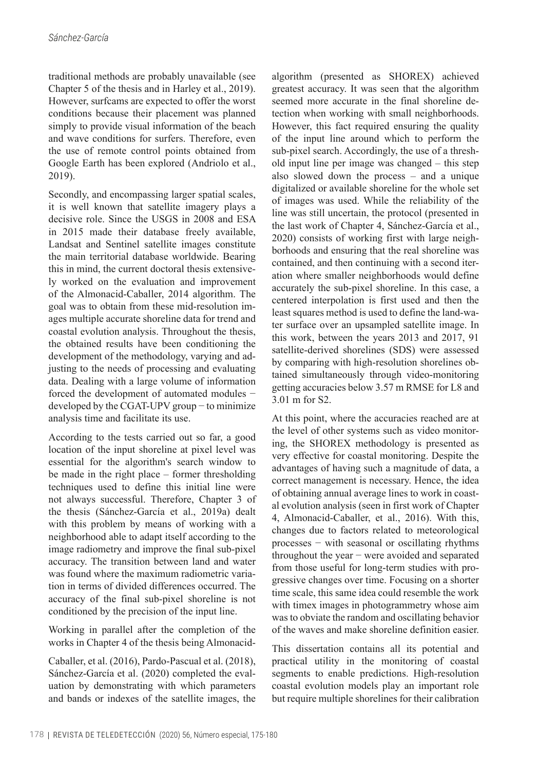traditional methods are probably unavailable (see Chapter 5 of the thesis and in Harley et al., 2019). However, surfcams are expected to offer the worst conditions because their placement was planned simply to provide visual information of the beach and wave conditions for surfers. Therefore, even the use of remote control points obtained from Google Earth has been explored (Andriolo et al., 2019).

Secondly, and encompassing larger spatial scales, it is well known that satellite imagery plays a decisive role. Since the USGS in 2008 and ESA in 2015 made their database freely available, Landsat and Sentinel satellite images constitute the main territorial database worldwide. Bearing this in mind, the current doctoral thesis extensively worked on the evaluation and improvement of the Almonacid-Caballer, 2014 algorithm. The goal was to obtain from these mid-resolution images multiple accurate shoreline data for trend and coastal evolution analysis. Throughout the thesis, the obtained results have been conditioning the development of the methodology, varying and adjusting to the needs of processing and evaluating data. Dealing with a large volume of information forced the development of automated modules − developed by the CGAT-UPV group − to minimize analysis time and facilitate its use.

According to the tests carried out so far, a good location of the input shoreline at pixel level was essential for the algorithm's search window to be made in the right place – former thresholding techniques used to define this initial line were not always successful. Therefore, Chapter 3 of the thesis (Sánchez-García et al., 2019a) dealt with this problem by means of working with a neighborhood able to adapt itself according to the image radiometry and improve the final sub-pixel accuracy. The transition between land and water was found where the maximum radiometric variation in terms of divided differences occurred. The accuracy of the final sub-pixel shoreline is not conditioned by the precision of the input line.

Working in parallel after the completion of the works in Chapter 4 of the thesis being Almonacid-

Caballer, et al. (2016), Pardo-Pascual et al. (2018), Sánchez-García et al. (2020) completed the evaluation by demonstrating with which parameters and bands or indexes of the satellite images, the

algorithm (presented as SHOREX) achieved greatest accuracy. It was seen that the algorithm seemed more accurate in the final shoreline detection when working with small neighborhoods. However, this fact required ensuring the quality of the input line around which to perform the sub-pixel search. Accordingly, the use of a threshold input line per image was changed – this step also slowed down the process – and a unique digitalized or available shoreline for the whole set of images was used. While the reliability of the line was still uncertain, the protocol (presented in the last work of Chapter 4, Sánchez-García et al., 2020) consists of working first with large neighborhoods and ensuring that the real shoreline was contained, and then continuing with a second iteration where smaller neighborhoods would define accurately the sub-pixel shoreline. In this case, a centered interpolation is first used and then the least squares method is used to define the land-water surface over an upsampled satellite image. In this work, between the years 2013 and 2017, 91 satellite-derived shorelines (SDS) were assessed by comparing with high-resolution shorelines obtained simultaneously through video-monitoring getting accuracies below 3.57 m RMSE for L8 and 3.01 m for S2.

At this point, where the accuracies reached are at the level of other systems such as video monitoring, the SHOREX methodology is presented as very effective for coastal monitoring. Despite the advantages of having such a magnitude of data, a correct management is necessary. Hence, the idea of obtaining annual average lines to work in coastal evolution analysis (seen in first work of Chapter 4, Almonacid-Caballer, et al., 2016). With this, changes due to factors related to meteorological processes − with seasonal or oscillating rhythms throughout the year − were avoided and separated from those useful for long-term studies with progressive changes over time. Focusing on a shorter time scale, this same idea could resemble the work with timex images in photogrammetry whose aim was to obviate the random and oscillating behavior of the waves and make shoreline definition easier.

This dissertation contains all its potential and practical utility in the monitoring of coastal segments to enable predictions. High-resolution coastal evolution models play an important role but require multiple shorelines for their calibration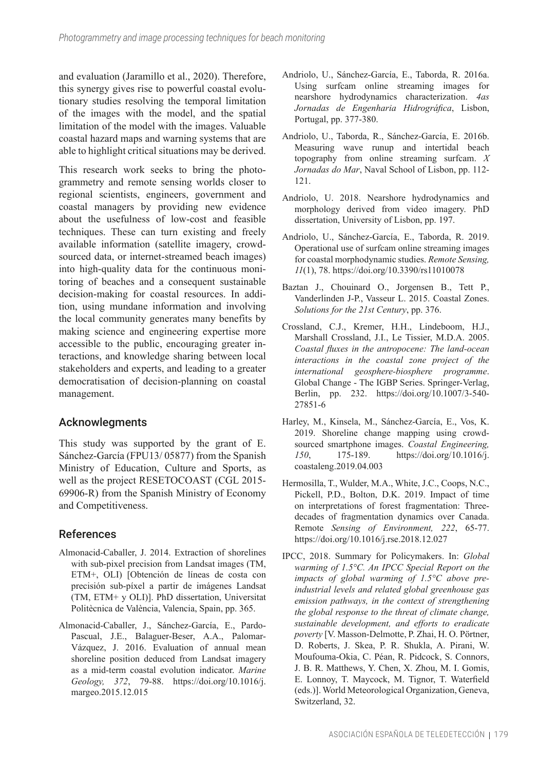and evaluation (Jaramillo et al., 2020). Therefore, this synergy gives rise to powerful coastal evolutionary studies resolving the temporal limitation of the images with the model, and the spatial limitation of the model with the images. Valuable coastal hazard maps and warning systems that are able to highlight critical situations may be derived.

This research work seeks to bring the photogrammetry and remote sensing worlds closer to regional scientists, engineers, government and coastal managers by providing new evidence about the usefulness of low-cost and feasible techniques. These can turn existing and freely available information (satellite imagery, crowdsourced data, or internet-streamed beach images) into high-quality data for the continuous monitoring of beaches and a consequent sustainable decision-making for coastal resources. In addition, using mundane information and involving the local community generates many benefits by making science and engineering expertise more accessible to the public, encouraging greater interactions, and knowledge sharing between local stakeholders and experts, and leading to a greater democratisation of decision-planning on coastal management.

## Acknowlegments

This study was supported by the grant of E. Sánchez-García (FPU13/ 05877) from the Spanish Ministry of Education, Culture and Sports, as well as the project RESETOCOAST (CGL 2015- 69906-R) from the Spanish Ministry of Economy and Competitiveness.

## References

- Almonacid-Caballer, J. 2014. Extraction of shorelines with sub-pixel precision from Landsat images (TM, ETM+, OLI) [Obtención de líneas de costa con precisión sub-píxel a partir de imágenes Landsat (TM, ETM+ y OLI)]. PhD dissertation, Universitat Politècnica de València, Valencia, Spain, pp. 365.
- Almonacid-Caballer, J., Sánchez-García, E., Pardo-Pascual, J.E., Balaguer-Beser, A.A., Palomar-Vázquez, J. 2016. Evaluation of annual mean shoreline position deduced from Landsat imagery as a mid-term coastal evolution indicator. *Marine Geology, 372*, 79-88. [https://doi.org/10.1016/j.](https://doi.org/10.1016/j.margeo.2015.12.015) [margeo.2015.12.015](https://doi.org/10.1016/j.margeo.2015.12.015)
- Andriolo, U., Sánchez-García, E., Taborda, R. 2016a. Using surfcam online streaming images for nearshore hydrodynamics characterization. *4as Jornadas de Engenharia Hidrográfica*, Lisbon, Portugal, pp. 377-380.
- Andriolo, U., Taborda, R., Sánchez-García, E. 2016b. Measuring wave runup and intertidal beach topography from online streaming surfcam. *X Jornadas do Mar*, Naval School of Lisbon, pp. 112- 121.
- Andriolo, U. 2018. Nearshore hydrodynamics and morphology derived from video imagery. PhD dissertation, University of Lisbon, pp. 197.
- Andriolo, U., Sánchez-García, E., Taborda, R. 2019. Operational use of surfcam online streaming images for coastal morphodynamic studies. *Remote Sensing, 11*(1), 78. <https://doi.org/10.3390/rs11010078>
- Baztan J., Chouinard O., Jorgensen B., Tett P., Vanderlinden J-P., Vasseur L. 2015. Coastal Zones. *Solutions for the 21st Century*, pp. 376.
- Crossland, C.J., Kremer, H.H., Lindeboom, H.J., Marshall Crossland, J.I., Le Tissier, M.D.A. 2005. *Coastal fluxes in the antropocene: The land-ocean interactions in the coastal zone project of the international geosphere-biosphere programme*. Global Change - The IGBP Series. Springer-Verlag, Berlin, pp. 232. [https://doi.org/10.1007/3-540-](https://doi.org/10.1007/3-540-27851-6) [27851-6](https://doi.org/10.1007/3-540-27851-6)
- Harley, M., Kinsela, M., Sánchez-García, E., Vos, K. 2019. Shoreline change mapping using crowdsourced smartphone images. *Coastal Engineering, 150*, 175-189. [https://doi.org/10.1016/j.](https://doi.org/10.1016/j.coastaleng.2019.04.003) [coastaleng.2019.04.003](https://doi.org/10.1016/j.coastaleng.2019.04.003)
- Hermosilla, T., Wulder, M.A., White, J.C., Coops, N.C., Pickell, P.D., Bolton, D.K. 2019. Impact of time on interpretations of forest fragmentation: Threedecades of fragmentation dynamics over Canada. Remote *Sensing of Environment, 222*, 65-77. <https://doi.org/10.1016/j.rse.2018.12.027>
- IPCC, 2018. Summary for Policymakers. In: *Global warming of 1.5°C. An IPCC Special Report on the impacts of global warming of 1.5°C above preindustrial levels and related global greenhouse gas emission pathways, in the context of strengthening the global response to the threat of climate change, sustainable development, and efforts to eradicate poverty* [V. Masson-Delmotte, P. Zhai, H. O. Pörtner, D. Roberts, J. Skea, P. R. Shukla, A. Pirani, W. Moufouma-Okia, C. Péan, R. Pidcock, S. Connors, J. B. R. Matthews, Y. Chen, X. Zhou, M. I. Gomis, E. Lonnoy, T. Maycock, M. Tignor, T. Waterfield (eds.)]. World Meteorological Organization, Geneva, Switzerland, 32.